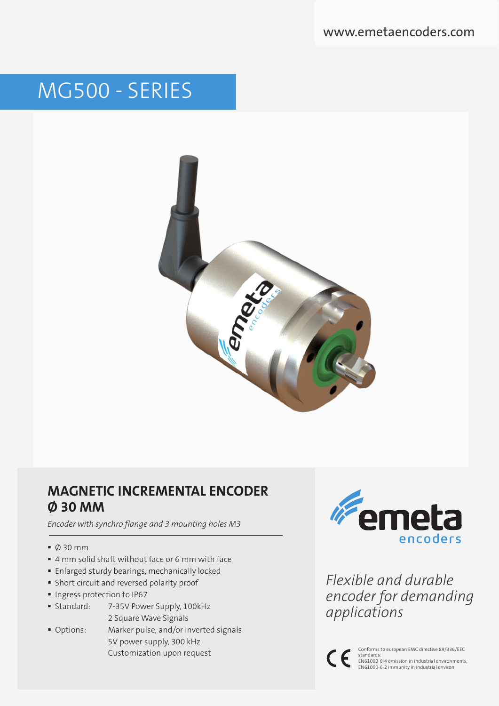# MG500 - SERIES



# **MAGNETIC INCREMENTAL ENCODER Ø 30 MM**

*Encoder with synchro flange and 3 mounting holes M3*

- $\bullet$  0 30 mm
- 4 mm solid shaft without face or 6 mm with face
- **Enlarged sturdy bearings, mechanically locked**
- Short circuit and reversed polarity proof
- **Ingress protection to IP67**
- Standard: 7-35V Power Supply, 100kHz 2 Square Wave Signals
- Options: Marker pulse, and/or inverted signals 5V power supply, 300 kHz Customization upon request



*Flexible and durable encoder for demanding applications*



Conforms to european EMC directive 89/336/EEC standards: EN61000-6-4 emission in industrial environments, EN61000-6-2 immunity in industrial environ